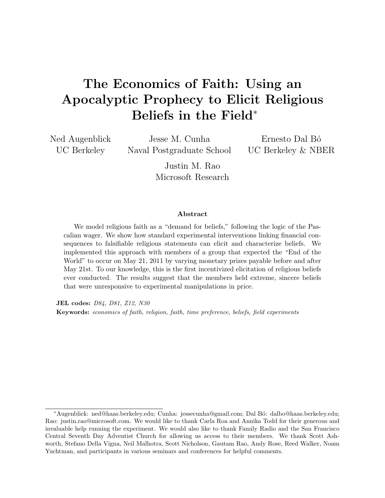# The Economics of Faith: Using an Apocalyptic Prophecy to Elicit Religious Beliefs in the Field<sup>∗</sup>

Ned Augenblick UC Berkeley

Jesse M. Cunha Naval Postgraduate School

Ernesto Dal Bó UC Berkeley & NBER

Justin M. Rao Microsoft Research

#### Abstract

We model religious faith as a "demand for beliefs," following the logic of the Pascalian wager. We show how standard experimental interventions linking financial consequences to falsifiable religious statements can elicit and characterize beliefs. We implemented this approach with members of a group that expected the "End of the World" to occur on May 21, 2011 by varying monetary prizes payable before and after May 21st. To our knowledge, this is the first incentivized elicitation of religious beliefs ever conducted. The results suggest that the members held extreme, sincere beliefs that were unresponsive to experimental manipulations in price.

**JEL codes:** D84, D81, Z12, N30 **Keywords:** economics of faith, religion, faith, time preference, beliefs, field experiments

<sup>∗</sup>Augenblick: ned@haas.berkeley.edu; Cunha: jessecunha@gmail.com; Dal B´o: dalbo@haas.berkeley.edu; Rao: justin.rao@microsoft.com. We would like to thank Carla Roa and Annika Todd for their generous and invaluable help running the experiment. We would also like to thank Family Radio and the San Francisco Central Seventh Day Adventist Church for allowing us access to their members. We thank Scott Ashworth, Stefano Della Vigna, Neil Malhotra, Scott Nicholson, Gautam Rao, Andy Rose, Reed Walker, Noam Yuchtman, and participants in various seminars and conferences for helpful comments.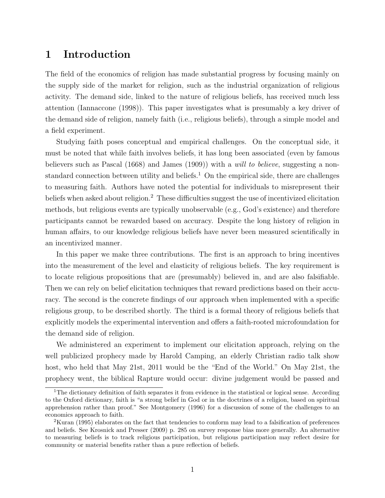### 1 Introduction

The field of the economics of religion has made substantial progress by focusing mainly on the supply side of the market for religion, such as the industrial organization of religious activity. The demand side, linked to the nature of religious beliefs, has received much less attention (Iannaccone (1998)). This paper investigates what is presumably a key driver of the demand side of religion, namely faith (i.e., religious beliefs), through a simple model and a field experiment.

Studying faith poses conceptual and empirical challenges. On the conceptual side, it must be noted that while faith involves beliefs, it has long been associated (even by famous believers such as Pascal (1668) and James (1909)) with a will to believe, suggesting a nonstandard connection between utility and beliefs.<sup>1</sup> On the empirical side, there are challenges to measuring faith. Authors have noted the potential for individuals to misrepresent their beliefs when asked about religion.<sup>2</sup> These difficulties suggest the use of incentivized elicitation methods, but religious events are typically unobservable (e.g., God's existence) and therefore participants cannot be rewarded based on accuracy. Despite the long history of religion in human affairs, to our knowledge religious beliefs have never been measured scientifically in an incentivized manner.

In this paper we make three contributions. The first is an approach to bring incentives into the measurement of the level and elasticity of religious beliefs. The key requirement is to locate religious propositions that are (presumably) believed in, and are also falsifiable. Then we can rely on belief elicitation techniques that reward predictions based on their accuracy. The second is the concrete findings of our approach when implemented with a specific religious group, to be described shortly. The third is a formal theory of religious beliefs that explicitly models the experimental intervention and offers a faith-rooted microfoundation for the demand side of religion.

We administered an experiment to implement our elicitation approach, relying on the well publicized prophecy made by Harold Camping, an elderly Christian radio talk show host, who held that May 21st, 2011 would be the "End of the World." On May 21st, the prophecy went, the biblical Rapture would occur: divine judgement would be passed and

<sup>&</sup>lt;sup>1</sup>The dictionary definition of faith separates it from evidence in the statistical or logical sense. According to the Oxford dictionary, faith is "a strong belief in God or in the doctrines of a religion, based on spiritual apprehension rather than proof." See Montgomery (1996) for a discussion of some of the challenges to an economics approach to faith.

<sup>&</sup>lt;sup>2</sup>Kuran (1995) elaborates on the fact that tendencies to conform may lead to a falsification of preferences and beliefs. See Krosnick and Presser (2009) p. 285 on survey response bias more generally. An alternative to measuring beliefs is to track religious participation, but religious participation may reflect desire for community or material benefits rather than a pure reflection of beliefs.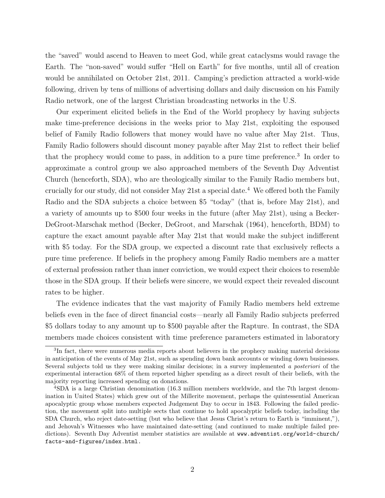the "saved" would ascend to Heaven to meet God, while great cataclysms would ravage the Earth. The "non-saved" would suffer "Hell on Earth" for five months, until all of creation would be annihilated on October 21st, 2011. Camping's prediction attracted a world-wide following, driven by tens of millions of advertising dollars and daily discussion on his Family Radio network, one of the largest Christian broadcasting networks in the U.S.

Our experiment elicited beliefs in the End of the World prophecy by having subjects make time-preference decisions in the weeks prior to May 21st, exploiting the espoused belief of Family Radio followers that money would have no value after May 21st. Thus, Family Radio followers should discount money payable after May 21st to reflect their belief that the prophecy would come to pass, in addition to a pure time preference.<sup>3</sup> In order to approximate a control group we also approached members of the Seventh Day Adventist Church (henceforth, SDA), who are theologically similar to the Family Radio members but, crucially for our study, did not consider May 21st a special date.<sup>4</sup> We offered both the Family Radio and the SDA subjects a choice between \$5 "today" (that is, before May 21st), and a variety of amounts up to \$500 four weeks in the future (after May 21st), using a Becker-DeGroot-Marschak method (Becker, DeGroot, and Marschak (1964), henceforth, BDM) to capture the exact amount payable after May 21st that would make the subject indifferent with \$5 today. For the SDA group, we expected a discount rate that exclusively reflects a pure time preference. If beliefs in the prophecy among Family Radio members are a matter of external profession rather than inner conviction, we would expect their choices to resemble those in the SDA group. If their beliefs were sincere, we would expect their revealed discount rates to be higher.

The evidence indicates that the vast majority of Family Radio members held extreme beliefs even in the face of direct financial costs—nearly all Family Radio subjects preferred \$5 dollars today to any amount up to \$500 payable after the Rapture. In contrast, the SDA members made choices consistent with time preference parameters estimated in laboratory

<sup>&</sup>lt;sup>3</sup>In fact, there were numerous media reports about believers in the prophecy making material decisions in anticipation of the events of May 21st, such as spending down bank accounts or winding down businesses. Several subjects told us they were making similar decisions; in a survey implemented a posteriori of the experimental interaction 68% of them reported higher spending as a direct result of their beliefs, with the majority reporting increased spending on donations.

<sup>4</sup>SDA is a large Christian denomination (16.3 million members worldwide, and the 7th largest denomination in United States) which grew out of the Millerite movement, perhaps the quintessential American apocalyptic group whose members expected Judgement Day to occur in 1843. Following the failed prediction, the movement split into multiple sects that continue to hold apocalyptic beliefs today, including the SDA Church, who reject date-setting (but who believe that Jesus Christ's return to Earth is "imminent,"), and Jehovah's Witnesses who have maintained date-setting (and continued to make multiple failed predictions). Seventh Day Adventist member statistics are available at www.adventist.org/world-church/ facts-and-figures/index.html.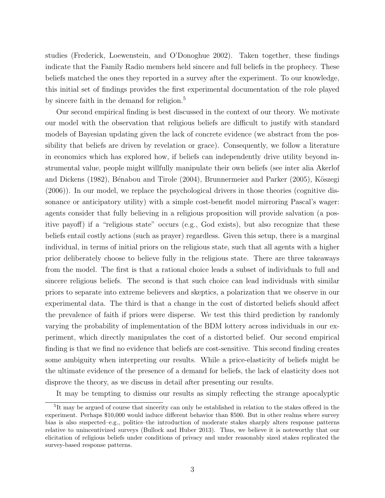studies (Frederick, Loewenstein, and O'Donoghue 2002). Taken together, these findings indicate that the Family Radio members held sincere and full beliefs in the prophecy. These beliefs matched the ones they reported in a survey after the experiment. To our knowledge, this initial set of findings provides the first experimental documentation of the role played by sincere faith in the demand for religion.<sup>5</sup>

Our second empirical finding is best discussed in the context of our theory. We motivate our model with the observation that religious beliefs are difficult to justify with standard models of Bayesian updating given the lack of concrete evidence (we abstract from the possibility that beliefs are driven by revelation or grace). Consequently, we follow a literature in economics which has explored how, if beliefs can independently drive utility beyond instrumental value, people might willfully manipulate their own beliefs (see inter alia Akerlof and Dickens (1982), Bénabou and Tirole (2004), Brunnermeier and Parker (2005), Köszegi (2006)). In our model, we replace the psychological drivers in those theories (cognitive dissonance or anticipatory utility) with a simple cost-benefit model mirroring Pascal's wager: agents consider that fully believing in a religious proposition will provide salvation (a positive payoff) if a "religious state" occurs (e.g., God exists), but also recognize that these beliefs entail costly actions (such as prayer) regardless. Given this setup, there is a marginal individual, in terms of initial priors on the religious state, such that all agents with a higher prior deliberately choose to believe fully in the religious state. There are three takeaways from the model. The first is that a rational choice leads a subset of individuals to full and sincere religious beliefs. The second is that such choice can lead individuals with similar priors to separate into extreme believers and skeptics, a polarization that we observe in our experimental data. The third is that a change in the cost of distorted beliefs should affect the prevalence of faith if priors were disperse. We test this third prediction by randomly varying the probability of implementation of the BDM lottery across individuals in our experiment, which directly manipulates the cost of a distorted belief. Our second empirical finding is that we find no evidence that beliefs are cost-sensitive. This second finding creates some ambiguity when interpreting our results. While a price-elasticity of beliefs might be the ultimate evidence of the presence of a demand for beliefs, the lack of elasticity does not disprove the theory, as we discuss in detail after presenting our results.

It may be tempting to dismiss our results as simply reflecting the strange apocalyptic

<sup>&</sup>lt;sup>5</sup>It may be argued of course that sincerity can only be established in relation to the stakes offered in the experiment. Perhaps \$10,000 would induce different behavior than \$500. But in other realms where survey bias is also suspected–e.g., politics–the introduction of moderate stakes sharply alters response patterns relative to unincentivized surveys (Bullock and Huber 2013). Thus, we believe it is noteworthy that our elicitation of religious beliefs under conditions of privacy and under reasonably sized stakes replicated the survey-based response patterns.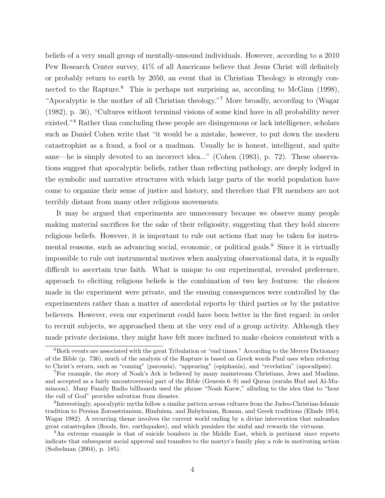beliefs of a very small group of mentally-unsound individuals. However, according to a 2010 Pew Research Center survey, 41% of all Americans believe that Jesus Christ will definitely or probably return to earth by 2050, an event that in Christian Theology is strongly connected to the Rapture.<sup>6</sup> This is perhaps not surprising as, according to McGinn (1998), "Apocalyptic is the mother of all Christian theology."<sup>7</sup> More broadly, according to (Wagar (1982), p. 36), "Cultures without terminal visions of some kind have in all probability never existed."<sup>8</sup> Rather than concluding these people are disingenuous or lack intelligence, scholars such as Daniel Cohen write that "it would be a mistake, however, to put down the modern catastrophist as a fraud, a fool or a madman. Usually he is honest, intelligent, and quite sane—he is simply devoted to an incorrect idea..." (Cohen (1983), p. 72). These observations suggest that apocalyptic beliefs, rather than reflecting pathology, are deeply lodged in the symbolic and narrative structures with which large parts of the world population have come to organize their sense of justice and history, and therefore that FR members are not terribly distant from many other religious movements.

It may be argued that experiments are unnecessary because we observe many people making material sacrifices for the sake of their religiosity, suggesting that they hold sincere religious beliefs. However, it is important to rule out actions that may be taken for instrumental reasons, such as advancing social, economic, or political goals.<sup>9</sup> Since it is virtually impossible to rule out instrumental motives when analyzing observational data, it is equally difficult to ascertain true faith. What is unique to our experimental, revealed preference, approach to eliciting religious beliefs is the combination of two key features: the choices made in the experiment were private, and the ensuing consequences were controlled by the experimenters rather than a matter of anecdotal reports by third parties or by the putative believers. However, even our experiment could have been better in the first regard: in order to recruit subjects, we approached them at the very end of a group activity. Although they made private decisions, they might have felt more inclined to make choices consistent with a

 $6B$ oth events are associated with the great Tribulation or "end times." According to the Mercer Dictionary of the Bible (p. 736), much of the analysis of the Rapture is based on Greek words Paul uses when referring to Christ's return, such as "coming" (parousía), "appearing" (epiphanía), and "revelation" (apocalipsis).

<sup>7</sup>For example, the story of Noah's Ark is believed by many mainstream Christians, Jews and Muslims, and accepted as a fairly uncontroversial part of the Bible (Genesis 6–9) and Quran (surahs Hud and Al-Muminoon). Many Family Radio billboards used the phrase "Noah Knew," alluding to the idea that to "hear the call of God" provides salvation from disaster.

<sup>8</sup> Interestingly, apocalyptic myths follow a similar pattern across cultures from the Judeo-Christian-Islamic tradition to Persian Zoroastrianism, Hinduism, and Babylonian, Roman, and Greek traditions (Eliade 1954; Wagar 1982). A recurring theme involves the current world ending by a divine intervention that unleashes great catastrophes (floods, fire, earthquakes), and which punishes the sinful and rewards the virtuous.

<sup>9</sup>An extreme example is that of suicide bombers in the Middle East, which is pertinent since reports indicate that subsequent social approval and transfers to the martyr's family play a role in motivating action (Soibelman (2004), p. 185).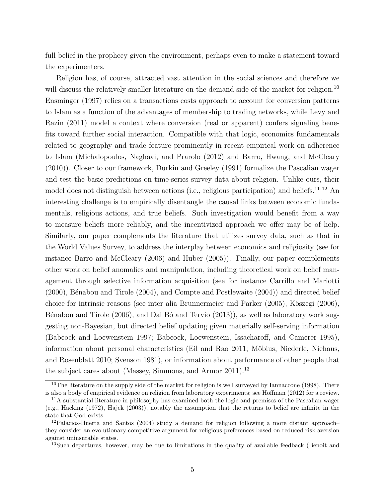full belief in the prophecy given the environment, perhaps even to make a statement toward the experimenters.

Religion has, of course, attracted vast attention in the social sciences and therefore we will discuss the relatively smaller literature on the demand side of the market for religion.<sup>10</sup> Ensminger (1997) relies on a transactions costs approach to account for conversion patterns to Islam as a function of the advantages of membership to trading networks, while Levy and Razin (2011) model a context where conversion (real or apparent) confers signaling benefits toward further social interaction. Compatible with that logic, economics fundamentals related to geography and trade feature prominently in recent empirical work on adherence to Islam (Michalopoulos, Naghavi, and Prarolo (2012) and Barro, Hwang, and McCleary (2010)). Closer to our framework, Durkin and Greeley (1991) formalize the Pascalian wager and test the basic predictions on time-series survey data about religion. Unlike ours, their model does not distinguish between actions (i.e., religious participation) and beliefs.<sup>11,12</sup> An interesting challenge is to empirically disentangle the causal links between economic fundamentals, religious actions, and true beliefs. Such investigation would benefit from a way to measure beliefs more reliably, and the incentivized approach we offer may be of help. Similarly, our paper complements the literature that utilizes survey data, such as that in the World Values Survey, to address the interplay between economics and religiosity (see for instance Barro and McCleary (2006) and Huber (2005)). Finally, our paper complements other work on belief anomalies and manipulation, including theoretical work on belief management through selective information acquisition (see for instance Carrillo and Mariotti  $(2000)$ , Bénabou and Tirole  $(2004)$ , and Compte and Postlewaite  $(2004)$ ) and directed belief choice for intrinsic reasons (see inter alia Brunnermeier and Parker (2005), Köszegi (2006), Bénabou and Tirole (2006), and Dal Bó and Tervio (2013)), as well as laboratory work suggesting non-Bayesian, but directed belief updating given materially self-serving information (Babcock and Loewenstein 1997; Babcock, Loewenstein, Issacharoff, and Camerer 1995), information about personal characteristics (Eil and Rao 2011; Möbius, Niederle, Niehaus, and Rosenblatt 2010; Svenson 1981), or information about performance of other people that the subject cares about (Massey, Simmons, and Armor 2011).<sup>13</sup>

<sup>&</sup>lt;sup>10</sup>The literature on the supply side of the market for religion is well surveyed by Iannaccone  $(1998)$ . There is also a body of empirical evidence on religion from laboratory experiments; see Hoffman (2012) for a review.

<sup>&</sup>lt;sup>11</sup>A substantial literature in philosophy has examined both the logic and premises of the Pascalian wager (e.g., Hacking (1972), Hajek (2003)), notably the assumption that the returns to belief are infinite in the state that God exists.

<sup>&</sup>lt;sup>12</sup>Palacios-Huerta and Santos (2004) study a demand for religion following a more distant approach– they consider an evolutionary competitive argument for religious preferences based on reduced risk aversion against uninsurable states.

<sup>&</sup>lt;sup>13</sup>Such departures, however, may be due to limitations in the quality of available feedback (Benoit and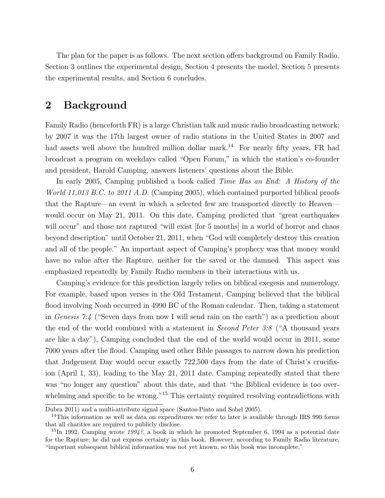The plan for the paper is as follows. The next section offers background on Family Radio. Section 3 outlines the experimental design, Section 4 presents the model, Section 5 presents the experimental results, and Section 6 concludes.

### 2 Background

Family Radio (henceforth FR) is a large Christian talk and music radio broadcasting network; by 2007 it was the 17th largest owner of radio stations in the United States in 2007 and had assets well above the hundred million dollar mark.<sup>14</sup> For nearly fifty years, FR had broadcast a program on weekdays called "Open Forum," in which the station's co-founder and president, Harold Camping, answers listeners' questions about the Bible.

In early 2005, Camping published a book called *Time Has an End: A History of the* World 11,013 B.C. to 2011 A.D. (Camping 2005), which contained purported biblical proofs that the Rapture—an event in which a selected few are transported directly to Heaven would occur on May 21, 2011. On this date, Camping predicted that "great earthquakes will occur" and those not raptured "will exist [for 5 months] in a world of horror and chaos beyond description" until October 21, 2011, when "God will completely destroy this creation and all of the people." An important aspect of Camping's prophecy was that money would have no value after the Rapture, neither for the saved or the damned. This aspect was emphasized repeatedly by Family Radio members in their interactions with us.

Camping's evidence for this prediction largely relies on biblical exegesis and numerology. For example, based upon verses in the Old Testament, Camping believed that the biblical flood involving Noah occurred in 4990 BC of the Roman calendar. Then, taking a statement in Genesis 7:4 ("Seven days from now I will send rain on the earth") as a prediction about the end of the world combined with a statement in Second Peter 3:8 ("A thousand years are like a day"), Camping concluded that the end of the world would occur in 2011, some 7000 years after the flood. Camping used other Bible passages to narrow down his prediction that Judgement Day would occur exactly 722,500 days from the date of Christ's crucifixion (April 1, 33), leading to the May 21, 2011 date. Camping repeatedly stated that there was "no longer any question" about this date, and that "the Biblical evidence is too overwhelming and specific to be wrong."<sup>15</sup> This certainty required resolving contradictions with

Dubra 2011) and a multi-attribute signal space (Santos-Pinto and Sobel 2005).

<sup>14</sup>This information as well as data on expenditures we refer to later is available through IRS 990 forms that all charities are required to publicly disclose.

<sup>&</sup>lt;sup>15</sup>In 1992, Camping wrote  $1994$ ?, a book in which he promoted September 6, 1994 as a potential date for the Rapture; he did not express certainty in this book. However, according to Family Radio literature, "important subsequent biblical information was not yet known, so this book was incomplete."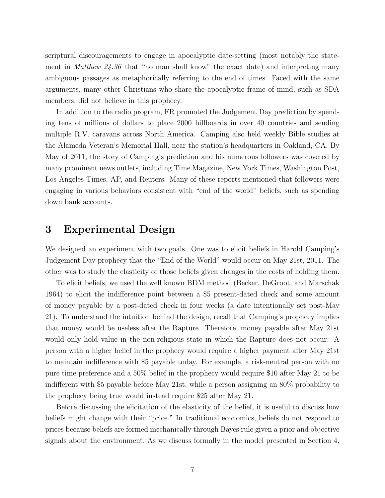scriptural discouragements to engage in apocalyptic date-setting (most notably the statement in Matthew 24:36 that "no man shall know" the exact date) and interpreting many ambiguous passages as metaphorically referring to the end of times. Faced with the same arguments, many other Christians who share the apocalyptic frame of mind, such as SDA members, did not believe in this prophecy.

In addition to the radio program, FR promoted the Judgement Day prediction by spending tens of millions of dollars to place 2000 billboards in over 40 countries and sending multiple R.V. caravans across North America. Camping also held weekly Bible studies at the Alameda Veteran's Memorial Hall, near the station's headquarters in Oakland, CA. By May of 2011, the story of Camping's prediction and his numerous followers was covered by many prominent news outlets, including Time Magazine, New York Times, Washington Post, Los Angeles Times, AP, and Reuters. Many of these reports mentioned that followers were engaging in various behaviors consistent with "end of the world" beliefs, such as spending down bank accounts.

### 3 Experimental Design

We designed an experiment with two goals. One was to elicit beliefs in Harold Camping's Judgement Day prophecy that the "End of the World" would occur on May 21st, 2011. The other was to study the elasticity of those beliefs given changes in the costs of holding them.

To elicit beliefs, we used the well known BDM method (Becker, DeGroot, and Marschak 1964) to elicit the indifference point between a \$5 present-dated check and some amount of money payable by a post-dated check in four weeks (a date intentionally set post-May 21). To understand the intuition behind the design, recall that Camping's prophecy implies that money would be useless after the Rapture. Therefore, money payable after May 21st would only hold value in the non-religious state in which the Rapture does not occur. A person with a higher belief in the prophecy would require a higher payment after May 21st to maintain indifference with \$5 payable today. For example, a risk-neutral person with no pure time preference and a 50% belief in the prophecy would require \$10 after May 21 to be indifferent with \$5 payable before May 21st, while a person assigning an 80% probability to the prophecy being true would instead require \$25 after May 21.

Before discussing the elicitation of the elasticity of the belief, it is useful to discuss how beliefs might change with their "price." In traditional economics, beliefs do not respond to prices because beliefs are formed mechanically through Bayes rule given a prior and objective signals about the environment. As we discuss formally in the model presented in Section 4,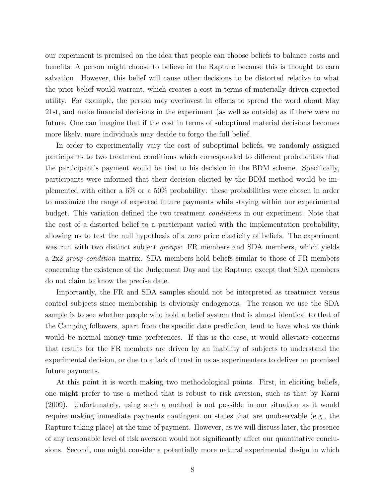our experiment is premised on the idea that people can choose beliefs to balance costs and benefits. A person might choose to believe in the Rapture because this is thought to earn salvation. However, this belief will cause other decisions to be distorted relative to what the prior belief would warrant, which creates a cost in terms of materially driven expected utility. For example, the person may overinvest in efforts to spread the word about May 21st, and make financial decisions in the experiment (as well as outside) as if there were no future. One can imagine that if the cost in terms of suboptimal material decisions becomes more likely, more individuals may decide to forgo the full belief.

In order to experimentally vary the cost of suboptimal beliefs, we randomly assigned participants to two treatment conditions which corresponded to different probabilities that the participant's payment would be tied to his decision in the BDM scheme. Specifically, participants were informed that their decision elicited by the BDM method would be implemented with either a 6% or a 50% probability: these probabilities were chosen in order to maximize the range of expected future payments while staying within our experimental budget. This variation defined the two treatment *conditions* in our experiment. Note that the cost of a distorted belief to a participant varied with the implementation probability, allowing us to test the null hypothesis of a zero price elasticity of beliefs. The experiment was run with two distinct subject *groups*: FR members and SDA members, which yields a 2x2 group-condition matrix. SDA members hold beliefs similar to those of FR members concerning the existence of the Judgement Day and the Rapture, except that SDA members do not claim to know the precise date.

Importantly, the FR and SDA samples should not be interpreted as treatment versus control subjects since membership is obviously endogenous. The reason we use the SDA sample is to see whether people who hold a belief system that is almost identical to that of the Camping followers, apart from the specific date prediction, tend to have what we think would be normal money-time preferences. If this is the case, it would alleviate concerns that results for the FR members are driven by an inability of subjects to understand the experimental decision, or due to a lack of trust in us as experimenters to deliver on promised future payments.

At this point it is worth making two methodological points. First, in eliciting beliefs, one might prefer to use a method that is robust to risk aversion, such as that by Karni (2009). Unfortunately, using such a method is not possible in our situation as it would require making immediate payments contingent on states that are unobservable (e.g., the Rapture taking place) at the time of payment. However, as we will discuss later, the presence of any reasonable level of risk aversion would not significantly affect our quantitative conclusions. Second, one might consider a potentially more natural experimental design in which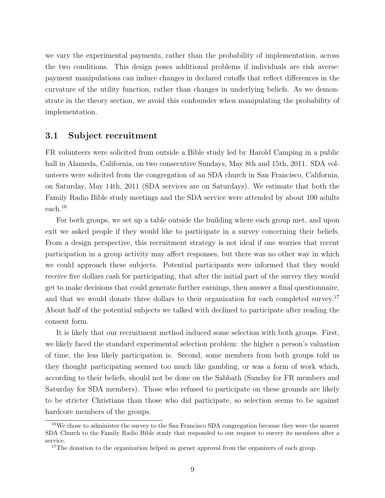we vary the experimental payments, rather than the probability of implementation, across the two conditions. This design poses additional problems if individuals are risk averse: payment manipulations can induce changes in declared cutoffs that reflect differences in the curvature of the utility function, rather than changes in underlying beliefs. As we demonstrate in the theory section, we avoid this confounder when manipulating the probability of implementation.

#### 3.1 Subject recruitment

FR volunteers were solicited from outside a Bible study led by Harold Camping in a public hall in Alameda, California, on two consecutive Sundays, May 8th and 15th, 2011. SDA volunteers were solicited from the congregation of an SDA church in San Francisco, California, on Saturday, May 14th, 2011 (SDA services are on Saturdays). We estimate that both the Family Radio Bible study meetings and the SDA service were attended by about 100 adults each.<sup>16</sup>

For both groups, we set up a table outside the building where each group met, and upon exit we asked people if they would like to participate in a survey concerning their beliefs. From a design perspective, this recruitment strategy is not ideal if one worries that recent participation in a group activity may affect responses, but there was no other way in which we could approach these subjects. Potential participants were informed that they would receive five dollars cash for participating, that after the initial part of the survey they would get to make decisions that could generate further earnings, then answer a final questionnaire, and that we would donate three dollars to their organization for each completed survey.<sup>17</sup> About half of the potential subjects we talked with declined to participate after reading the consent form.

It is likely that our recruitment method induced some selection with both groups. First, we likely faced the standard experimental selection problem: the higher a person's valuation of time, the less likely participation is. Second, some members from both groups told us they thought participating seemed too much like gambling, or was a form of work which, according to their beliefs, should not be done on the Sabbath (Sunday for FR members and Saturday for SDA members). Those who refused to participate on these grounds are likely to be stricter Christians than those who did participate, so selection seems to be against hardcore members of the groups.

<sup>&</sup>lt;sup>16</sup>We chose to administer the survey to the San Francisco SDA congregation because they were the nearest SDA Church to the Family Radio Bible study that responded to our request to survey its members after a service.

<sup>&</sup>lt;sup>17</sup>The donation to the organization helped us garner approval from the organizers of each group.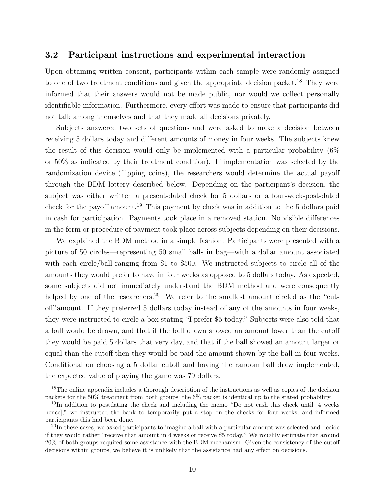### 3.2 Participant instructions and experimental interaction

Upon obtaining written consent, participants within each sample were randomly assigned to one of two treatment conditions and given the appropriate decision packet.<sup>18</sup> They were informed that their answers would not be made public, nor would we collect personally identifiable information. Furthermore, every effort was made to ensure that participants did not talk among themselves and that they made all decisions privately.

Subjects answered two sets of questions and were asked to make a decision between receiving 5 dollars today and different amounts of money in four weeks. The subjects knew the result of this decision would only be implemented with a particular probability (6% or 50% as indicated by their treatment condition). If implementation was selected by the randomization device (flipping coins), the researchers would determine the actual payoff through the BDM lottery described below. Depending on the participant's decision, the subject was either written a present-dated check for 5 dollars or a four-week-post-dated check for the payoff amount.<sup>19</sup> This payment by check was in addition to the 5 dollars paid in cash for participation. Payments took place in a removed station. No visible differences in the form or procedure of payment took place across subjects depending on their decisions.

We explained the BDM method in a simple fashion. Participants were presented with a picture of 50 circles—representing 50 small balls in bag—with a dollar amount associated with each circle/ball ranging from \$1 to \$500. We instructed subjects to circle all of the amounts they would prefer to have in four weeks as opposed to 5 dollars today. As expected, some subjects did not immediately understand the BDM method and were consequently helped by one of the researchers.<sup>20</sup> We refer to the smallest amount circled as the "cutoff"amount. If they preferred 5 dollars today instead of any of the amounts in four weeks, they were instructed to circle a box stating "I prefer \$5 today." Subjects were also told that a ball would be drawn, and that if the ball drawn showed an amount lower than the cutoff they would be paid 5 dollars that very day, and that if the ball showed an amount larger or equal than the cutoff then they would be paid the amount shown by the ball in four weeks. Conditional on choosing a 5 dollar cutoff and having the random ball draw implemented, the expected value of playing the game was 79 dollars.

<sup>&</sup>lt;sup>18</sup>The online appendix includes a thorough description of the instructions as well as copies of the decision packets for the 50% treatment from both groups; the 6% packet is identical up to the stated probability.

<sup>&</sup>lt;sup>19</sup>In addition to postdating the check and including the memo "Do not cash this check until [4 weeks hence]," we instructed the bank to temporarily put a stop on the checks for four weeks, and informed participants this had been done.

<sup>&</sup>lt;sup>20</sup>In these cases, we asked participants to imagine a ball with a particular amount was selected and decide if they would rather "receive that amount in 4 weeks or receive \$5 today." We roughly estimate that around 20% of both groups required some assistance with the BDM mechanism. Given the consistency of the cutoff decisions within groups, we believe it is unlikely that the assistance had any effect on decisions.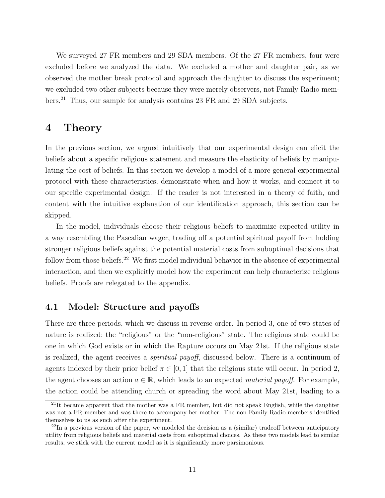We surveyed 27 FR members and 29 SDA members. Of the 27 FR members, four were excluded before we analyzed the data. We excluded a mother and daughter pair, as we observed the mother break protocol and approach the daughter to discuss the experiment; we excluded two other subjects because they were merely observers, not Family Radio members.<sup>21</sup> Thus, our sample for analysis contains 23 FR and 29 SDA subjects.

### 4 Theory

In the previous section, we argued intuitively that our experimental design can elicit the beliefs about a specific religious statement and measure the elasticity of beliefs by manipulating the cost of beliefs. In this section we develop a model of a more general experimental protocol with these characteristics, demonstrate when and how it works, and connect it to our specific experimental design. If the reader is not interested in a theory of faith, and content with the intuitive explanation of our identification approach, this section can be skipped.

In the model, individuals choose their religious beliefs to maximize expected utility in a way resembling the Pascalian wager, trading off a potential spiritual payoff from holding stronger religious beliefs against the potential material costs from suboptimal decisions that follow from those beliefs.<sup>22</sup> We first model individual behavior in the absence of experimental interaction, and then we explicitly model how the experiment can help characterize religious beliefs. Proofs are relegated to the appendix.

#### 4.1 Model: Structure and payoffs

There are three periods, which we discuss in reverse order. In period 3, one of two states of nature is realized: the "religious" or the "non-religious" state. The religious state could be one in which God exists or in which the Rapture occurs on May 21st. If the religious state is realized, the agent receives a spiritual payoff, discussed below. There is a continuum of agents indexed by their prior belief  $\pi \in [0, 1]$  that the religious state will occur. In period 2, the agent chooses an action  $a \in \mathbb{R}$ , which leads to an expected *material payoff*. For example, the action could be attending church or spreading the word about May 21st, leading to a

 $^{21}$ It became apparent that the mother was a FR member, but did not speak English, while the daughter was not a FR member and was there to accompany her mother. The non-Family Radio members identified themselves to us as such after the experiment.

 $22$ In a previous version of the paper, we modeled the decision as a (similar) tradeoff between anticipatory utility from religious beliefs and material costs from suboptimal choices. As these two models lead to similar results, we stick with the current model as it is significantly more parsimonious.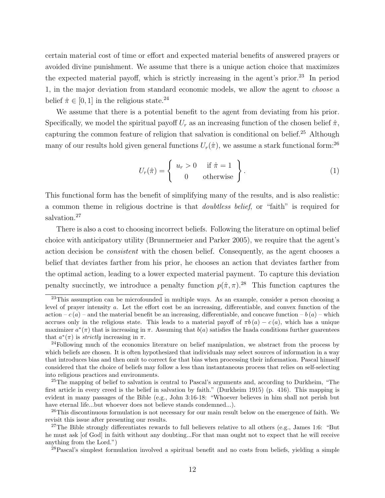certain material cost of time or effort and expected material benefits of answered prayers or avoided divine punishment. We assume that there is a unique action choice that maximizes the expected material payoff, which is strictly increasing in the agent's prior.<sup>23</sup> In period 1, in the major deviation from standard economic models, we allow the agent to choose a belief  $\hat{\pi} \in [0, 1]$  in the religious state.<sup>24</sup>

We assume that there is a potential benefit to the agent from deviating from his prior. Specifically, we model the spiritual payoff  $U_r$  as an increasing function of the chosen belief  $\hat{\pi}$ , capturing the common feature of religion that salvation is conditional on belief.<sup>25</sup> Although many of our results hold given general functions  $U_r(\hat{\pi})$ , we assume a stark functional form:<sup>26</sup>

$$
U_r(\hat{\pi}) = \begin{cases} u_r > 0 & \text{if } \hat{\pi} = 1 \\ 0 & \text{otherwise} \end{cases}.
$$
 (1)

This functional form has the benefit of simplifying many of the results, and is also realistic: a common theme in religious doctrine is that doubtless belief, or "faith" is required for salvation.<sup>27</sup>

There is also a cost to choosing incorrect beliefs. Following the literature on optimal belief choice with anticipatory utility (Brunnermeier and Parker 2005), we require that the agent's action decision be consistent with the chosen belief. Consequently, as the agent chooses a belief that deviates farther from his prior, he chooses an action that deviates farther from the optimal action, leading to a lower expected material payment. To capture this deviation penalty succinctly, we introduce a penalty function  $p(\hat{\pi}, \pi)$ .<sup>28</sup> This function captures the

<sup>&</sup>lt;sup>23</sup>This assumption can be microfounded in multiple ways. As an example, consider a person choosing a level of prayer intensity a. Let the effort cost be an increasing, differentiable, and convex function of the action –  $c(a)$  – and the material benefit be an increasing, differentiable, and concave function –  $b(a)$  – which accrues only in the religious state. This leads to a material payoff of  $\pi b (a) - c (a)$ , which has a unique maximizer  $a^*(\pi)$  that is increasing in  $\pi$ . Assuming that  $b(a)$  satisfies the Inada conditions further guarentees that  $a^*(\pi)$  is *strictly* increasing in  $\pi$ .

 $^{24}$ Following much of the economics literature on belief manipulation, we abstract from the process by which beliefs are chosen. It is often hypothesized that individuals may select sources of information in a way that introduces bias and then omit to correct for that bias when processing their information. Pascal himself considered that the choice of beliefs may follow a less than instantaneous process that relies on self-selecting into religious practices and environments.

 $^{25}$ The mapping of belief to salvation is central to Pascal's arguments and, according to Durkheim, "The first article in every creed is the belief in salvation by faith." (Durkheim 1915) (p. 416). This mapping is evident in many passages of the Bible (e.g., John 3:16-18: "Whoever believes in him shall not perish but have eternal life...but whoever does not believe stands condemned...).

 $^{26}$ This discontinuous formulation is not necessary for our main result below on the emergence of faith. We revisit this issue after presenting our results.

<sup>&</sup>lt;sup>27</sup>The Bible strongly differentiates rewards to full believers relative to all others (e.g., James 1:6: "But he must ask [of God] in faith without any doubting...For that man ought not to expect that he will receive anything from the Lord.")

<sup>&</sup>lt;sup>28</sup>Pascal's simplest formulation involved a spiritual benefit and no costs from beliefs, yielding a simple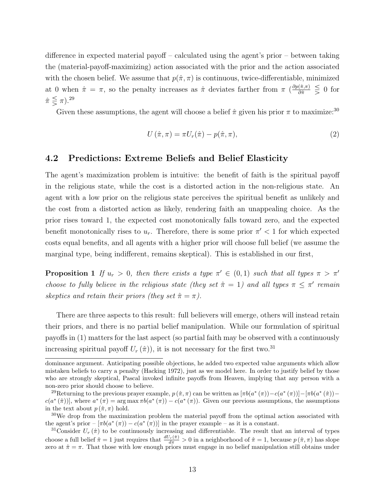difference in expected material payoff – calculated using the agent's prior – between taking the (material-payoff-maximizing) action associated with the prior and the action associated with the chosen belief. We assume that  $p(\hat{\pi}, \pi)$  is continuous, twice-differentiable, minimized at 0 when  $\hat{\pi} = \pi$ , so the penalty increases as  $\hat{\pi}$  deviates farther from  $\pi$   $\left(\frac{\partial p(\hat{\pi}, \pi)}{\partial \hat{\pi}}\right) \leq 0$  for  $\hat{\pi} \leq \pi$ ).<sup>29</sup>

Given these assumptions, the agent will choose a belief  $\hat{\pi}$  given his prior  $\pi$  to maximize:<sup>30</sup>

$$
U\left(\hat{\pi},\pi\right) = \pi U_r(\hat{\pi}) - p(\hat{\pi},\pi),\tag{2}
$$

#### 4.2 Predictions: Extreme Beliefs and Belief Elasticity

The agent's maximization problem is intuitive: the benefit of faith is the spiritual payoff in the religious state, while the cost is a distorted action in the non-religious state. An agent with a low prior on the religious state perceives the spiritual benefit as unlikely and the cost from a distorted action as likely, rendering faith an unappealing choice. As the prior rises toward 1, the expected cost monotonically falls toward zero, and the expected benefit monotonically rises to  $u_r$ . Therefore, there is some prior  $\pi' < 1$  for which expected costs equal benefits, and all agents with a higher prior will choose full belief (we assume the marginal type, being indifferent, remains skeptical). This is established in our first,

**Proposition 1** If  $u_r > 0$ , then there exists a type  $\pi' \in (0,1)$  such that all types  $\pi > \pi'$ choose to fully believe in the religious state (they set  $\hat{\pi} = 1$ ) and all types  $\pi \leq \pi'$  remain skeptics and retain their priors (they set  $\hat{\pi} = \pi$ ).

There are three aspects to this result: full believers will emerge, others will instead retain their priors, and there is no partial belief manipulation. While our formulation of spiritual payoffs in (1) matters for the last aspect (so partial faith may be observed with a continuously increasing spiritual payoff  $U_r(\hat{\pi})$ , it is not necessary for the first two.<sup>31</sup>

dominance argument. Anticipating possible objections, he added two expected value arguments which allow mistaken beliefs to carry a penalty (Hacking 1972), just as we model here. In order to justify belief by those who are strongly skeptical, Pascal invoked infinite payoffs from Heaven, implying that any person with a non-zero prior should choose to believe.

<sup>&</sup>lt;sup>29</sup>Returning to the previous prayer example,  $p(\hat{\pi}, \pi)$  can be written as  $[\pi b(a^*(\pi)) - c(a^*(\pi))] - [\pi b(a^*(\hat{\pi}))$  $c(a^*(\hat{\pi}))$ , where  $a^*(\pi) = \arg \max_{\pi} b(a^*(\pi)) - c(a^*(\pi))$ . Given our previous assumptions, the assumptions in the text about  $p(\hat{\pi}, \pi)$  hold.

 $30\,\text{We drop from the maximization problem the material payoff from the optimal action associated with }$ the agent's prior  $-\left[\pi b(a^*(\pi)) - c(a^*(\pi))\right]$  in the prayer example – as it is a constant.

<sup>&</sup>lt;sup>31</sup>Consider  $U_r(\hat{\pi})$  to be continuously increasing and differentiable. The result that an interval of types choose a full belief  $\hat{\pi} = 1$  just requires that  $\frac{dU_r(\hat{\pi})}{d\pi} > 0$  in a neighborhood of  $\hat{\pi} = 1$ , because  $p(\hat{\pi}, \pi)$  has slope zero at  $\hat{\pi} = \pi$ . That those with low enough priors must engage in no belief manipulation still obtains under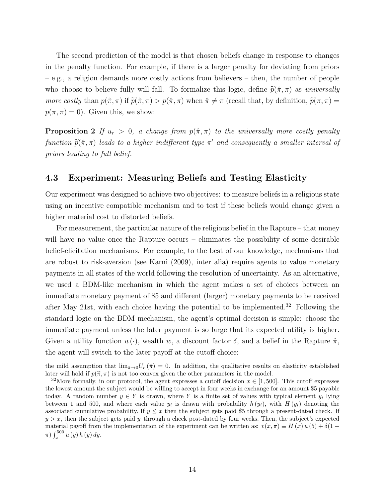The second prediction of the model is that chosen beliefs change in response to changes in the penalty function. For example, if there is a larger penalty for deviating from priors – e.g., a religion demands more costly actions from believers – then, the number of people who choose to believe fully will fall. To formalize this logic, define  $\tilde{p}(\hat{\pi}, \pi)$  as universally more costly than  $p(\hat{\pi}, \pi)$  if  $\tilde{p}(\hat{\pi}, \pi) > p(\hat{\pi}, \pi)$  when  $\hat{\pi} \neq \pi$  (recall that, by definition,  $\tilde{p}(\pi, \pi) =$  $p(\pi, \pi) = 0$ . Given this, we show:

**Proposition 2** If  $u_r > 0$ , a change from  $p(\hat{\pi}, \pi)$  to the universally more costly penalty function  $\tilde{p}(\hat{\pi}, \pi)$  leads to a higher indifferent type  $\pi'$  and consequently a smaller interval of priors leading to full belief.

### 4.3 Experiment: Measuring Beliefs and Testing Elasticity

Our experiment was designed to achieve two objectives: to measure beliefs in a religious state using an incentive compatible mechanism and to test if these beliefs would change given a higher material cost to distorted beliefs.

For measurement, the particular nature of the religious belief in the Rapture – that money will have no value once the Rapture occurs – eliminates the possibility of some desirable belief-elicitation mechanisms. For example, to the best of our knowledge, mechanisms that are robust to risk-aversion (see Karni (2009), inter alia) require agents to value monetary payments in all states of the world following the resolution of uncertainty. As an alternative, we used a BDM-like mechanism in which the agent makes a set of choices between an immediate monetary payment of \$5 and different (larger) monetary payments to be received after May 21st, with each choice having the potential to be implemented.<sup>32</sup> Following the standard logic on the BDM mechanism, the agent's optimal decision is simple: choose the immediate payment unless the later payment is so large that its expected utility is higher. Given a utility function  $u(\cdot)$ , wealth w, a discount factor  $\delta$ , and a belief in the Rapture  $\hat{\pi}$ , the agent will switch to the later payoff at the cutoff choice:

the mild assumption that  $\lim_{\hat{\pi}\to 0}U_r(\hat{\pi})=0$ . In addition, the qualitative results on elasticity established later will hold if  $p(\hat{\pi}, \pi)$  is not too convex given the other parameters in the model.

<sup>&</sup>lt;sup>32</sup>More formally, in our protocol, the agent expresses a cutoff decision  $x \in [1, 500]$ . This cutoff expresses the lowest amount the subject would be willing to accept in four weeks in exchange for an amount \$5 payable today. A random number  $y \in Y$  is drawn, where Y is a finite set of values with typical element  $y_i$  lying between 1 and 500, and where each value  $y_i$  is drawn with probability  $h(y_i)$ , with  $H(y_i)$  denoting the associated cumulative probability. If  $y \leq x$  then the subject gets paid \$5 through a present-dated check. If  $y > x$ , then the subject gets paid y through a check post-dated by four weeks. Then, the subject's expected material payoff from the implementation of the experiment can be written as:  $v(x, \pi) \equiv H(x) u(5) + \delta(1 \pi$ )  $\int_{x}^{500} u(y) h(y) dy$ .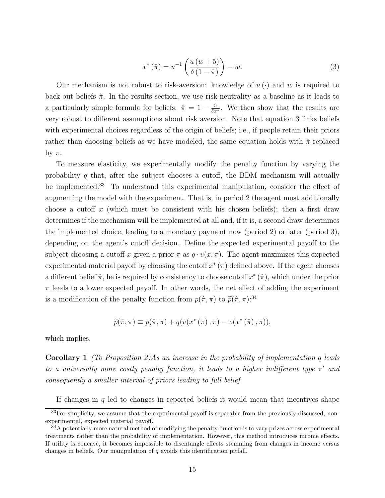$$
x^{\ast}(\hat{\pi}) = u^{-1}\left(\frac{u\left(w+5\right)}{\delta\left(1-\hat{\pi}\right)}\right) - w.\tag{3}
$$

Our mechanism is not robust to risk-aversion: knowledge of  $u(\cdot)$  and w is required to back out beliefs  $\hat{\pi}$ . In the results section, we use risk-neutrality as a baseline as it leads to a particularly simple formula for beliefs:  $\hat{\pi} = 1 - \frac{5}{\delta x^*}$ . We then show that the results are very robust to different assumptions about risk aversion. Note that equation 3 links beliefs with experimental choices regardless of the origin of beliefs; i.e., if people retain their priors rather than choosing beliefs as we have modeled, the same equation holds with  $\hat{\pi}$  replaced by  $\pi$ .

To measure elasticity, we experimentally modify the penalty function by varying the probability q that, after the subject chooses a cutoff, the BDM mechanism will actually be implemented.<sup>33</sup> To understand this experimental manipulation, consider the effect of augmenting the model with the experiment. That is, in period 2 the agent must additionally choose a cutoff x (which must be consistent with his chosen beliefs); then a first draw determines if the mechanism will be implemented at all and, if it is, a second draw determines the implemented choice, leading to a monetary payment now (period 2) or later (period 3), depending on the agent's cutoff decision. Define the expected experimental payoff to the subject choosing a cutoff x given a prior  $\pi$  as  $q \cdot v(x, \pi)$ . The agent maximizes this expected experimental material payoff by choosing the cutoff  $x^*(\pi)$  defined above. If the agent chooses a different belief  $\hat{\pi}$ , he is required by consistency to choose cutoff  $x^*(\hat{\pi})$ , which under the prior  $\pi$  leads to a lower expected payoff. In other words, the net effect of adding the experiment is a modification of the penalty function from  $p(\hat{\pi}, \pi)$  to  $\tilde{p}(\hat{\pi}, \pi)$ :<sup>34</sup>

$$
\widetilde{p}(\hat{\pi}, \pi) \equiv p(\hat{\pi}, \pi) + q(v(x^*(\pi), \pi) - v(x^*(\hat{\pi}), \pi)),
$$

which implies,

**Corollary 1** (To Proposition 2)As an increase in the probability of implementation q leads to a universally more costly penalty function, it leads to a higher indifferent type  $\pi'$  and consequently a smaller interval of priors leading to full belief.

If changes in  $q$  led to changes in reported beliefs it would mean that incentives shape

<sup>&</sup>lt;sup>33</sup>For simplicity, we assume that the experimental payoff is separable from the previously discussed, nonexperimental, expected material payoff.

 $34A$  potentially more natural method of modifying the penalty function is to vary prizes across experimental treatments rather than the probability of implementation. However, this method introduces income effects. If utility is concave, it becomes impossible to disentangle effects stemming from changes in income versus changes in beliefs. Our manipulation of  $q$  avoids this identification pitfall.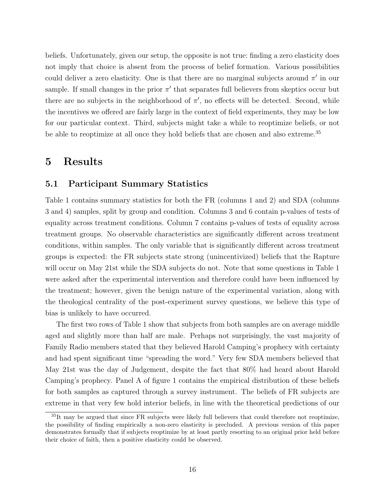beliefs. Unfortunately, given our setup, the opposite is not true: finding a zero elasticity does not imply that choice is absent from the process of belief formation. Various possibilities could deliver a zero elasticity. One is that there are no marginal subjects around  $\pi'$  in our sample. If small changes in the prior  $\pi'$  that separates full believers from skeptics occur but there are no subjects in the neighborhood of  $\pi'$ , no effects will be detected. Second, while the incentives we offered are fairly large in the context of field experiments, they may be low for our particular context. Third, subjects might take a while to reoptimize beliefs, or not be able to reoptimize at all once they hold beliefs that are chosen and also extreme.<sup>35</sup>

### 5 Results

### 5.1 Participant Summary Statistics

Table 1 contains summary statistics for both the FR (columns 1 and 2) and SDA (columns 3 and 4) samples, split by group and condition. Columns 3 and 6 contain p-values of tests of equality across treatment conditions. Column 7 contains p-values of tests of equality across treatment groups. No observable characteristics are significantly different across treatment conditions, within samples. The only variable that is significantly different across treatment groups is expected: the FR subjects state strong (unincentivized) beliefs that the Rapture will occur on May 21st while the SDA subjects do not. Note that some questions in Table 1 were asked after the experimental intervention and therefore could have been influenced by the treatment; however, given the benign nature of the experimental variation, along with the theological centrality of the post-experiment survey questions, we believe this type of bias is unlikely to have occurred.

The first two rows of Table 1 show that subjects from both samples are on average middle aged and slightly more than half are male. Perhaps not surprisingly, the vast majority of Family Radio members stated that they believed Harold Camping's prophecy with certainty and had spent significant time "spreading the word." Very few SDA members believed that May 21st was the day of Judgement, despite the fact that 80% had heard about Harold Camping's prophecy. Panel A of figure 1 contains the empirical distribution of these beliefs for both samples as captured through a survey instrument. The beliefs of FR subjects are extreme in that very few hold interior beliefs, in line with the theoretical predictions of our

<sup>&</sup>lt;sup>35</sup>It may be argued that since FR subjects were likely full believers that could therefore not reoptimize, the possibility of finding empirically a non-zero elasticity is precluded. A previous version of this paper demonstrates formally that if subjects reoptimize by at least partly resorting to an original prior held before their choice of faith, then a positive elasticity could be observed.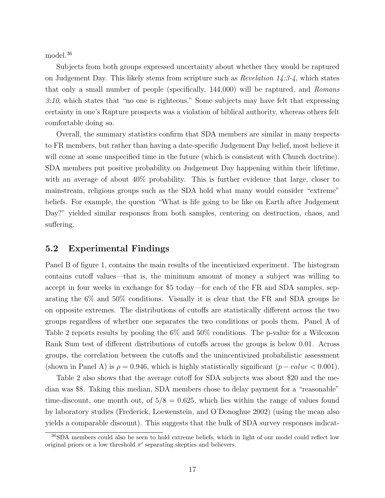model.<sup>36</sup>

Subjects from both groups expressed uncertainty about whether they would be raptured on Judgement Day. This likely stems from scripture such as *Revelation 14:3-4*, which states that only a small number of people (specifically, 144,000) will be raptured, and Romans  $3:10$ , which states that "no one is righteous." Some subjects may have felt that expressing certainty in one's Rapture prospects was a violation of biblical authority, whereas others felt comfortable doing so.

Overall, the summary statistics confirm that SDA members are similar in many respects to FR members, but rather than having a date-specific Judgement Day belief, most believe it will come at some unspecified time in the future (which is consistent with Church doctrine). SDA members put positive probability on Judgement Day happening within their lifetime, with an average of about  $40\%$  probability. This is further evidence that large, closer to mainstream, religious groups such as the SDA hold what many would consider "extreme" beliefs. For example, the question "What is life going to be like on Earth after Judgement Day?" yielded similar responses from both samples, centering on destruction, chaos, and suffering.

#### 5.2 Experimental Findings

Panel B of figure 1, contains the main results of the incentivized experiment. The histogram contains cutoff values—that is, the minimum amount of money a subject was willing to accept in four weeks in exchange for \$5 today—for each of the FR and SDA samples, separating the 6% and 50% conditions. Visually it is clear that the FR and SDA groups lie on opposite extremes. The distributions of cutoffs are statistically different across the two groups regardless of whether one separates the two conditions or pools them. Panel A of Table 2 reports results by pooling the 6% and 50% conditions. The p-value for a Wilcoxon Rank Sum test of different distributions of cutoffs across the groups is below 0.01. Across groups, the correlation between the cutoffs and the unincentivized probabilistic assessment (shown in Panel A) is  $\rho = 0.946$ , which is highly statistically significant  $(p-value < 0.001)$ .

Table 2 also shows that the average cutoff for SDA subjects was about \$20 and the median was \$8. Taking this median, SDA members chose to delay payment for a "reasonable" time-discount, one month out, of  $5/8 = 0.625$ , which lies within the range of values found by laboratory studies (Frederick, Loewenstein, and O'Donoghue 2002) (using the mean also yields a comparable discount). This suggests that the bulk of SDA survey responses indicat-

<sup>&</sup>lt;sup>36</sup>SDA members could also be seen to hold extreme beliefs, which in light of our model could reflect low original priors or a low threshold  $\pi'$  separating skeptics and believers.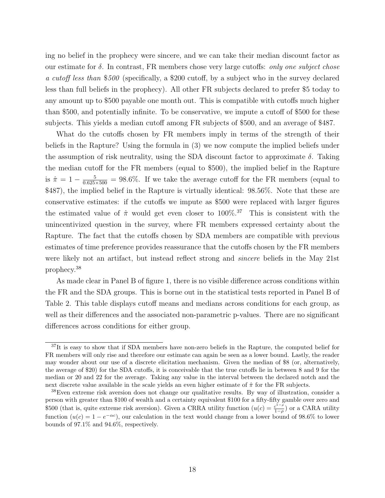ing no belief in the prophecy were sincere, and we can take their median discount factor as our estimate for  $\delta$ . In contrast, FR members chose very large cutoffs: only one subject chose a cutoff less than \$500 (specifically, a \$200 cutoff, by a subject who in the survey declared less than full beliefs in the prophecy). All other FR subjects declared to prefer \$5 today to any amount up to \$500 payable one month out. This is compatible with cutoffs much higher than \$500, and potentially infinite. To be conservative, we impute a cutoff of \$500 for these subjects. This yields a median cutoff among FR subjects of \$500, and an average of \$487.

What do the cutoffs chosen by FR members imply in terms of the strength of their beliefs in the Rapture? Using the formula in (3) we now compute the implied beliefs under the assumption of risk neutrality, using the SDA discount factor to approximate  $\delta$ . Taking the median cutoff for the FR members (equal to \$500), the implied belief in the Rapture is  $\hat{\pi} = 1 - \frac{5}{0.625 \times 500} = 98.6\%$ . If we take the average cutoff for the FR members (equal to \$487), the implied belief in the Rapture is virtually identical: 98.56%. Note that these are conservative estimates: if the cutoffs we impute as \$500 were replaced with larger figures the estimated value of  $\hat{\pi}$  would get even closer to 100%.<sup>37</sup> This is consistent with the unincentivized question in the survey, where FR members expressed certainty about the Rapture. The fact that the cutoffs chosen by SDA members are compatible with previous estimates of time preference provides reassurance that the cutoffs chosen by the FR members were likely not an artifact, but instead reflect strong and sincere beliefs in the May 21st prophecy.<sup>38</sup>

As made clear in Panel B of figure 1, there is no visible difference across conditions within the FR and the SDA groups. This is borne out in the statistical tests reported in Panel B of Table 2. This table displays cutoff means and medians across conditions for each group, as well as their differences and the associated non-parametric p-values. There are no significant differences across conditions for either group.

<sup>&</sup>lt;sup>37</sup>It is easy to show that if SDA members have non-zero beliefs in the Rapture, the computed belief for FR members will only rise and therefore our estimate can again be seen as a lower bound. Lastly, the reader may wonder about our use of a discrete elicitation mechanism. Given the median of \$8 (or, alternatively, the average of \$20) for the SDA cutoffs, it is conceivable that the true cutoffs lie in between 8 and 9 for the median or 20 and 22 for the average. Taking any value in the interval between the declared notch and the next discrete value available in the scale yields an even higher estimate of  $\hat{\pi}$  for the FR subjects.

<sup>38</sup>Even extreme risk aversion does not change our qualitative results. By way of illustration, consider a person with greater than \$100 of wealth and a certainty equivalent \$100 for a fifty-fifty gamble over zero and \$500 (that is, quite extreme risk aversion). Given a CRRA utility function  $(u(c) = \frac{c^{1-\rho}}{1-\rho})$  $\frac{c^{1-\rho}}{1-\rho}$  or a CARA utility function  $(u(c) = 1 - e^{-\alpha c})$ , our calculation in the text would change from a lower bound of 98.6% to lower bounds of 97.1% and 94.6%, respectively.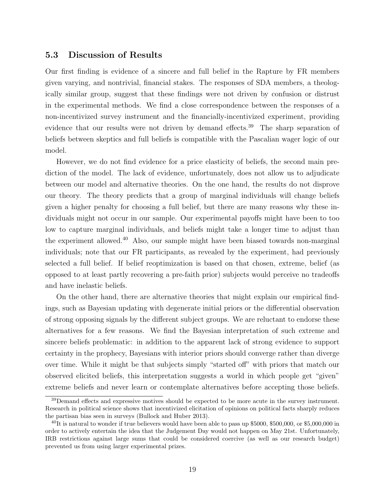#### 5.3 Discussion of Results

Our first finding is evidence of a sincere and full belief in the Rapture by FR members given varying, and nontrivial, financial stakes. The responses of SDA members, a theologically similar group, suggest that these findings were not driven by confusion or distrust in the experimental methods. We find a close correspondence between the responses of a non-incentivized survey instrument and the financially-incentivized experiment, providing evidence that our results were not driven by demand effects.<sup>39</sup> The sharp separation of beliefs between skeptics and full beliefs is compatible with the Pascalian wager logic of our model.

However, we do not find evidence for a price elasticity of beliefs, the second main prediction of the model. The lack of evidence, unfortunately, does not allow us to adjudicate between our model and alternative theories. On the one hand, the results do not disprove our theory. The theory predicts that a group of marginal individuals will change beliefs given a higher penalty for choosing a full belief, but there are many reasons why these individuals might not occur in our sample. Our experimental payoffs might have been to too low to capture marginal individuals, and beliefs might take a longer time to adjust than the experiment allowed.<sup>40</sup> Also, our sample might have been biased towards non-marginal individuals; note that our FR participants, as revealed by the experiment, had previously selected a full belief. If belief reoptimization is based on that chosen, extreme, belief (as opposed to at least partly recovering a pre-faith prior) subjects would perceive no tradeoffs and have inelastic beliefs.

On the other hand, there are alternative theories that might explain our empirical findings, such as Bayesian updating with degenerate initial priors or the differential observation of strong opposing signals by the different subject groups. We are reluctant to endorse these alternatives for a few reasons. We find the Bayesian interpretation of such extreme and sincere beliefs problematic: in addition to the apparent lack of strong evidence to support certainty in the prophecy, Bayesians with interior priors should converge rather than diverge over time. While it might be that subjects simply "started off" with priors that match our observed elicited beliefs, this interpretation suggests a world in which people get "given" extreme beliefs and never learn or contemplate alternatives before accepting those beliefs.

<sup>&</sup>lt;sup>39</sup>Demand effects and expressive motives should be expected to be more acute in the survey instrument. Research in political science shows that incentivized elicitation of opinions on political facts sharply reduces the partisan bias seen in surveys (Bullock and Huber 2013).

 $^{40}$ It is natural to wonder if true believers would have been able to pass up \$5000, \$500,000, or \$5,000,000 in order to actively entertain the idea that the Judgement Day would not happen on May 21st. Unfortunately, IRB restrictions against large sums that could be considered coercive (as well as our research budget) prevented us from using larger experimental prizes.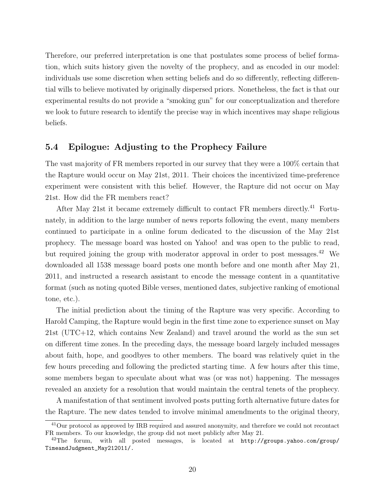Therefore, our preferred interpretation is one that postulates some process of belief formation, which suits history given the novelty of the prophecy, and as encoded in our model: individuals use some discretion when setting beliefs and do so differently, reflecting differential wills to believe motivated by originally dispersed priors. Nonetheless, the fact is that our experimental results do not provide a "smoking gun" for our conceptualization and therefore we look to future research to identify the precise way in which incentives may shape religious beliefs.

#### 5.4 Epilogue: Adjusting to the Prophecy Failure

The vast majority of FR members reported in our survey that they were a 100% certain that the Rapture would occur on May 21st, 2011. Their choices the incentivized time-preference experiment were consistent with this belief. However, the Rapture did not occur on May 21st. How did the FR members react?

After May 21st it became extremely difficult to contact FR members directly.<sup>41</sup> Fortunately, in addition to the large number of news reports following the event, many members continued to participate in a online forum dedicated to the discussion of the May 21st prophecy. The message board was hosted on Yahoo! and was open to the public to read, but required joining the group with moderator approval in order to post messages.<sup>42</sup> We downloaded all 1538 message board posts one month before and one month after May 21, 2011, and instructed a research assistant to encode the message content in a quantitative format (such as noting quoted Bible verses, mentioned dates, subjective ranking of emotional tone, etc.).

The initial prediction about the timing of the Rapture was very specific. According to Harold Camping, the Rapture would begin in the first time zone to experience sunset on May 21st (UTC+12, which contains New Zealand) and travel around the world as the sun set on different time zones. In the preceding days, the message board largely included messages about faith, hope, and goodbyes to other members. The board was relatively quiet in the few hours preceding and following the predicted starting time. A few hours after this time, some members began to speculate about what was (or was not) happening. The messages revealed an anxiety for a resolution that would maintain the central tenets of the prophecy.

A manifestation of that sentiment involved posts putting forth alternative future dates for the Rapture. The new dates tended to involve minimal amendments to the original theory,

<sup>41</sup>Our protocol as approved by IRB required and assured anonymity, and therefore we could not recontact FR members. To our knowledge, the group did not meet publicly after May 21.

<sup>&</sup>lt;sup>42</sup>The forum, with all posted messages, is located at http://groups.yahoo.com/group/ TimeandJudgment\_May212011/.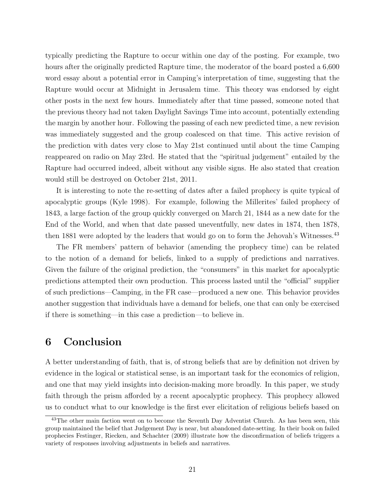typically predicting the Rapture to occur within one day of the posting. For example, two hours after the originally predicted Rapture time, the moderator of the board posted a 6,600 word essay about a potential error in Camping's interpretation of time, suggesting that the Rapture would occur at Midnight in Jerusalem time. This theory was endorsed by eight other posts in the next few hours. Immediately after that time passed, someone noted that the previous theory had not taken Daylight Savings Time into account, potentially extending the margin by another hour. Following the passing of each new predicted time, a new revision was immediately suggested and the group coalesced on that time. This active revision of the prediction with dates very close to May 21st continued until about the time Camping reappeared on radio on May 23rd. He stated that the "spiritual judgement" entailed by the Rapture had occurred indeed, albeit without any visible signs. He also stated that creation would still be destroyed on October 21st, 2011.

It is interesting to note the re-setting of dates after a failed prophecy is quite typical of apocalyptic groups (Kyle 1998). For example, following the Millerites' failed prophecy of 1843, a large faction of the group quickly converged on March 21, 1844 as a new date for the End of the World, and when that date passed uneventfully, new dates in 1874, then 1878, then 1881 were adopted by the leaders that would go on to form the Jehovah's Witnesses.<sup>43</sup>

The FR members' pattern of behavior (amending the prophecy time) can be related to the notion of a demand for beliefs, linked to a supply of predictions and narratives. Given the failure of the original prediction, the "consumers" in this market for apocalyptic predictions attempted their own production. This process lasted until the "official" supplier of such predictions—Camping, in the FR case—produced a new one. This behavior provides another suggestion that individuals have a demand for beliefs, one that can only be exercised if there is something—in this case a prediction—to believe in.

### 6 Conclusion

A better understanding of faith, that is, of strong beliefs that are by definition not driven by evidence in the logical or statistical sense, is an important task for the economics of religion, and one that may yield insights into decision-making more broadly. In this paper, we study faith through the prism afforded by a recent apocalyptic prophecy. This prophecy allowed us to conduct what to our knowledge is the first ever elicitation of religious beliefs based on

<sup>&</sup>lt;sup>43</sup>The other main faction went on to become the Seventh Day Adventist Church. As has been seen, this group maintained the belief that Judgement Day is near, but abandoned date-setting. In their book on failed prophecies Festinger, Riecken, and Schachter (2009) illustrate how the disconfirmation of beliefs triggers a variety of responses involving adjustments in beliefs and narratives.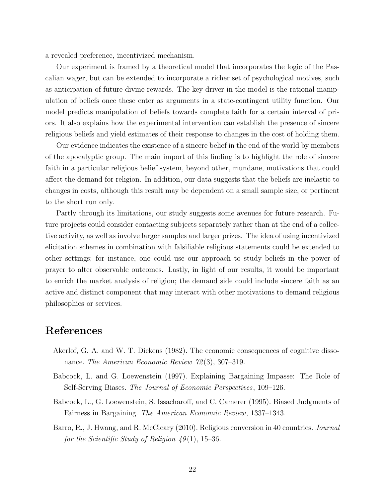a revealed preference, incentivized mechanism.

Our experiment is framed by a theoretical model that incorporates the logic of the Pascalian wager, but can be extended to incorporate a richer set of psychological motives, such as anticipation of future divine rewards. The key driver in the model is the rational manipulation of beliefs once these enter as arguments in a state-contingent utility function. Our model predicts manipulation of beliefs towards complete faith for a certain interval of priors. It also explains how the experimental intervention can establish the presence of sincere religious beliefs and yield estimates of their response to changes in the cost of holding them.

Our evidence indicates the existence of a sincere belief in the end of the world by members of the apocalyptic group. The main import of this finding is to highlight the role of sincere faith in a particular religious belief system, beyond other, mundane, motivations that could affect the demand for religion. In addition, our data suggests that the beliefs are inelastic to changes in costs, although this result may be dependent on a small sample size, or pertinent to the short run only.

Partly through its limitations, our study suggests some avenues for future research. Future projects could consider contacting subjects separately rather than at the end of a collective activity, as well as involve larger samples and larger prizes. The idea of using incentivized elicitation schemes in combination with falsifiable religious statements could be extended to other settings; for instance, one could use our approach to study beliefs in the power of prayer to alter observable outcomes. Lastly, in light of our results, it would be important to enrich the market analysis of religion; the demand side could include sincere faith as an active and distinct component that may interact with other motivations to demand religious philosophies or services.

### References

- Akerlof, G. A. and W. T. Dickens (1982). The economic consequences of cognitive dissonance. The American Economic Review 72(3), 307-319.
- Babcock, L. and G. Loewenstein (1997). Explaining Bargaining Impasse: The Role of Self-Serving Biases. The Journal of Economic Perspectives, 109–126.
- Babcock, L., G. Loewenstein, S. Issacharoff, and C. Camerer (1995). Biased Judgments of Fairness in Bargaining. The American Economic Review, 1337–1343.
- Barro, R., J. Hwang, and R. McCleary (2010). Religious conversion in 40 countries. Journal for the Scientific Study of Religion  $49(1)$ , 15–36.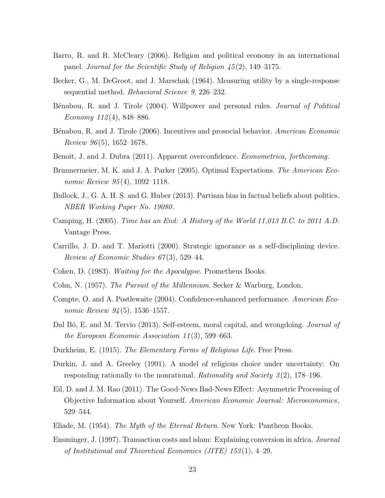- Barro, R. and R. McCleary (2006). Religion and political economy in an international panel. Journal for the Scientific Study of Religion 45 (2), 149–3175.
- Becker, G., M. DeGroot, and J. Marschak (1964). Measuring utility by a single-response sequential method. Behavioral Science 9, 226–232.
- Bénabou, R. and J. Tirole (2004). Willpower and personal rules. *Journal of Political* Economy  $112(4)$ , 848–886.
- Bénabou, R. and J. Tirole (2006). Incentives and prosocial behavior. American Economic Review  $96(5)$ , 1652–1678.
- Benoit, J. and J. Dubra (2011). Apparent overconfidence. Econometrica, forthcoming.
- Brunnermeier, M. K. and J. A. Parker (2005). Optimal Expectations. The American Economic Review 95(4), 1092-1118.
- Bullock, J., G. A. H. S. and G. Huber (2013). Partisan bias in factual beliefs about politics. NBER Working Paper No. 19080 .
- Camping, H. (2005). Time has an End: A History of the World 11,013 B.C. to 2011 A.D. Vantage Press.
- Carrillo, J. D. and T. Mariotti (2000). Strategic ignorance as a self-disciplining device. Review of Economic Studies 67 (3), 529–44.
- Cohen, D. (1983). Waiting for the Apocalypse. Prometheus Books.
- Cohn, N. (1957). The Pursuit of the Millennium. Secker & Warburg, London.
- Compte, O. and A. Postlewaite (2004). Confidence-enhanced performance. American Economic Review  $94(5)$ , 1536–1557.
- Dal Bó, E. and M. Tervio (2013). Self-esteem, moral capital, and wrongdoing. *Journal of* the European Economic Association 11 (3), 599–663.
- Durkheim, E. (1915). The Elementary Forms of Religious Life. Free Press.
- Durkin, J. and A. Greeley (1991). A model of religious choice under uncertainty: On responding rationally to the nonrational. Rationality and Society  $3(2)$ , 178–196.
- Eil, D. and J. M. Rao (2011). The Good-News Bad-News Effect: Asymmetric Processing of Objective Information about Yourself. American Economic Journal: Microeconomics, 529–544.
- Eliade, M. (1954). The Myth of the Eternal Return. New York: Pantheon Books.
- Ensminger, J. (1997). Transaction costs and islam: Explaining conversion in africa. Journal of Institutional and Theoretical Economics (JITE) 153 (1), 4–29.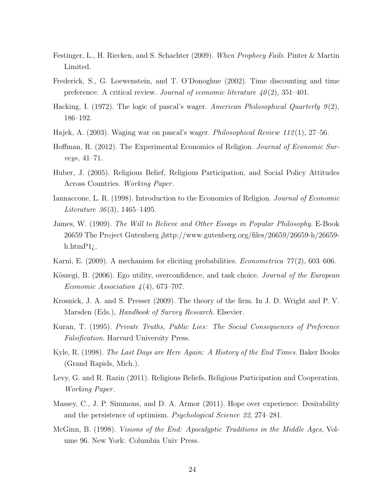- Festinger, L., H. Riecken, and S. Schachter (2009). When Prophecy Fails. Pinter & Martin Limited.
- Frederick, S., G. Loewenstein, and T. O'Donoghue (2002). Time discounting and time preference: A critical review. Journal of economic literature  $40(2)$ , 351–401.
- Hacking, I. (1972). The logic of pascal's wager. American Philosophical Quarterly  $9(2)$ , 186–192.
- Hajek, A. (2003). Waging war on pascal's wager. Philosophical Review 112 (1), 27–56.
- Hoffman, R. (2012). The Experimental Economics of Religion. Journal of Economic Surveys, 41–71.
- Huber, J. (2005). Religious Belief, Religious Participation, and Social Policy Attitudes Across Countries. Working Paper .
- Iannaccone, L. R. (1998). Introduction to the Economics of Religion. Journal of Economic Literature 36(3), 1465–1495.
- James, W. (1909). The Will to Believe and Other Essays in Popular Philosophy. E-Book 26659 The Project Gutenberg ¡http://www.gutenberg.org/files/26659/26659-h/26659 h.htm $P1i$ .
- Karni, E. (2009). A mechanism for eliciting probabilities. *Econometrica*  $77(2)$ , 603–606.
- Köszegi, B. (2006). Ego utility, overconfidence, and task choice. Journal of the European Economic Association  $\frac{1}{4}(4)$ , 673–707.
- Krosnick, J. A. and S. Presser (2009). The theory of the firm. In J. D. Wright and P. V. Marsden (Eds.), Handbook of Survey Research. Elsevier.
- Kuran, T. (1995). Private Truths, Public Lies: The Social Consequences of Preference Falsification. Harvard University Press.
- Kyle, R. (1998). The Last Days are Here Again: A History of the End Times. Baker Books (Grand Rapids, Mich.).
- Levy, G. and R. Razin (2011). Religious Beliefs, Religious Participation and Cooperation. Working Paper .
- Massey, C., J. P. Simmons, and D. A. Armor (2011). Hope over experience: Desirability and the persistence of optimism. Psychological Science 22, 274–281.
- McGinn, B. (1998). Visions of the End: Apocalyptic Traditions in the Middle Ages, Volume 96. New York: Columbia Univ Press.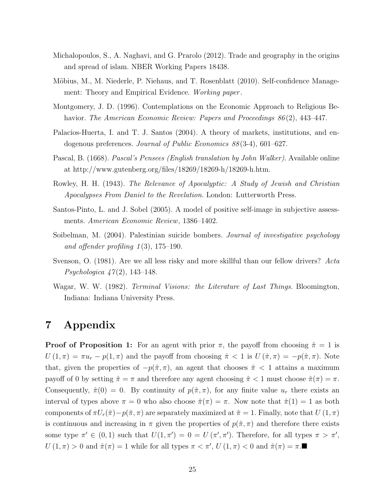- Michalopoulos, S., A. Naghavi, and G. Prarolo (2012). Trade and geography in the origins and spread of islam. NBER Working Papers 18438.
- Möbius, M., M. Niederle, P. Niehaus, and T. Rosenblatt (2010). Self-confidence Management: Theory and Empirical Evidence. Working paper.
- Montgomery, J. D. (1996). Contemplations on the Economic Approach to Religious Behavior. The American Economic Review: Papers and Proceedings 86(2), 443–447.
- Palacios-Huerta, I. and T. J. Santos (2004). A theory of markets, institutions, and endogenous preferences. Journal of Public Economics 88(3-4), 601–627.
- Pascal, B. (1668). Pascal's Pensees (English translation by John Walker). Available online at http://www.gutenberg.org/files/18269/18269-h/18269-h.htm.
- Rowley, H. H. (1943). The Relevance of Apocalyptic: A Study of Jewish and Christian Apocalypses From Daniel to the Revelation. London: Lutterworth Press.
- Santos-Pinto, L. and J. Sobel (2005). A model of positive self-image in subjective assessments. American Economic Review, 1386–1402.
- Soibelman, M. (2004). Palestinian suicide bombers. Journal of investigative psychology and offender profiling  $1(3)$ , 175–190.
- Svenson, O. (1981). Are we all less risky and more skillful than our fellow drivers? Acta *Psychologica*  $47(2)$ , 143–148.
- Wagar, W. W. (1982). Terminal Visions: the Literature of Last Things. Bloomington, Indiana: Indiana University Press.

## 7 Appendix

**Proof of Proposition 1:** For an agent with prior  $\pi$ , the payoff from choosing  $\hat{\pi} = 1$  is  $U(1,\pi) = \pi u_r - p(1,\pi)$  and the payoff from choosing  $\hat{\pi} < 1$  is  $U(\hat{\pi},\pi) = -p(\hat{\pi},\pi)$ . Note that, given the properties of  $-p(\hat{\pi}, \pi)$ , an agent that chooses  $\hat{\pi} < 1$  attains a maximum payoff of 0 by setting  $\hat{\pi} = \pi$  and therefore any agent choosing  $\hat{\pi} < 1$  must choose  $\hat{\pi}(\pi) = \pi$ . Consequently,  $\hat{\pi}(0) = 0$ . By continuity of  $p(\hat{\pi}, \pi)$ , for any finite value  $u_r$  there exists an interval of types above  $\pi = 0$  who also choose  $\hat{\pi}(\pi) = \pi$ . Now note that  $\hat{\pi}(1) = 1$  as both components of  $\pi U_r(\hat{\pi})-p(\hat{\pi},\pi)$  are separately maximized at  $\hat{\pi}=1$ . Finally, note that  $U(1,\pi)$ is continuous and increasing in  $\pi$  given the properties of  $p(\hat{\pi}, \pi)$  and therefore there exists some type  $\pi' \in (0,1)$  such that  $U(1,\pi') = 0 = U(\pi',\pi')$ . Therefore, for all types  $\pi > \pi'$ ,  $U(1,\pi) > 0$  and  $\hat{\pi}(\pi) = 1$  while for all types  $\pi < \pi'$ ,  $U(1,\pi) < 0$  and  $\hat{\pi}(\pi) = \pi$ .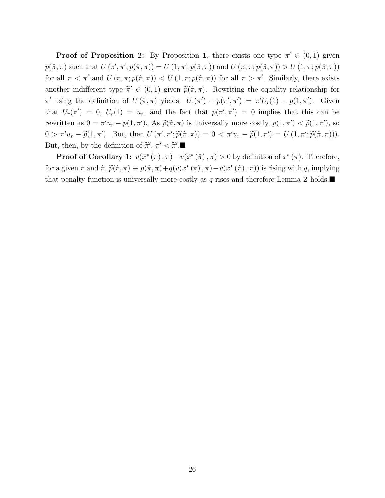**Proof of Proposition 2:** By Proposition 1, there exists one type  $\pi' \in (0,1)$  given  $p(\hat{\pi}, \pi)$  such that  $U(\pi', \pi'; p(\hat{\pi}, \pi)) = U(1, \pi'; p(\hat{\pi}, \pi))$  and  $U(\pi, \pi; p(\hat{\pi}, \pi)) > U(1, \pi; p(\hat{\pi}, \pi))$ for all  $\pi < \pi'$  and  $U(\pi, \pi; p(\hat{\pi}, \pi)) < U(1, \pi; p(\hat{\pi}, \pi))$  for all  $\pi > \pi'$ . Similarly, there exists another indifferent type  $\tilde{\pi}' \in (0, 1)$  given  $\tilde{p}(\hat{\pi}, \pi)$ . Rewriting the equality relationship for  $\pi'$  using the definition of  $U(\hat{\pi}, \pi)$  yields:  $U_r(\pi') - p(\pi', \pi') = \pi' U_r(1) - p(1, \pi')$ . Given that  $U_r(\pi') = 0$ ,  $U_r(1) = u_r$ , and the fact that  $p(\pi', \pi') = 0$  implies that this can be rewritten as  $0 = \pi' u_r - p(1, \pi')$ . As  $\tilde{p}(\hat{\pi}, \pi)$  is universally more costly,  $p(1, \pi') < \tilde{p}(1, \pi')$ , so  $0 > \pi' u_r - \widetilde{p}(1,\pi')$ . But, then  $U(\pi', \pi'; \widetilde{p}(\hat{\pi}, \pi)) = 0 < \pi' u_r - \widetilde{p}(1,\pi') = U(1, \pi'; \widetilde{p}(\hat{\pi}, \pi))$ . But, then, by the definition of  $\tilde{\pi}', \pi' < \tilde{\pi}'.$ 

**Proof of Corollary 1:**  $v(x^*(\pi), \pi) - v(x^*(\hat{\pi}), \pi) > 0$  by definition of  $x^*(\pi)$ . Therefore, for a given  $\pi$  and  $\hat{\pi}$ ,  $\tilde{p}(\hat{\pi}, \pi) \equiv p(\hat{\pi}, \pi) + q(v(x^*(\pi), \pi) - v(x^*(\hat{\pi}), \pi))$  is rising with q, implying that penalty function is universally more costly as q rises and therefore Lemma 2 holds.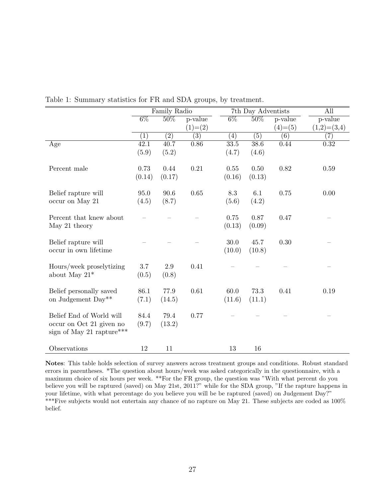|                           | Family Radio      |                  | 7th Day Adventists |                   |                  | All       |               |
|---------------------------|-------------------|------------------|--------------------|-------------------|------------------|-----------|---------------|
|                           | $6\%$             | $50\%$           | p-value            | $6\%$             | 50%              | $p-value$ | p-value       |
|                           |                   |                  | $(1)= (2)$         |                   |                  | $(4)=(5)$ | $(1,2)=(3,4)$ |
|                           | $\left( 1\right)$ | $\overline{(2)}$ | $\overline{(3)}$   | (4)               | $\overline{(5)}$ | (6)       | (7)           |
| Age                       | 42.1              | 40.7             | 0.86               | $\overline{33.5}$ | 38.6             | 0.44      | 0.32          |
|                           | (5.9)             | (5.2)            |                    | (4.7)             | (4.6)            |           |               |
|                           |                   |                  |                    |                   |                  |           |               |
| Percent male              | 0.73              | 0.44             | $\rm 0.21$         | 0.55              | 0.50             | 0.82      | 0.59          |
|                           | (0.14)            | (0.17)           |                    | (0.16)            | (0.13)           |           |               |
|                           |                   |                  |                    |                   |                  |           |               |
| Belief rapture will       | 95.0              | 90.6             | 0.65               | 8.3               | 6.1              | 0.75      | 0.00          |
| occur on May 21           | (4.5)             | (8.7)            |                    | (5.6)             | (4.2)            |           |               |
|                           |                   |                  |                    |                   |                  |           |               |
| Percent that knew about   |                   |                  |                    | 0.75              | 0.87             | 0.47      |               |
| May 21 theory             |                   |                  |                    | (0.13)            | (0.09)           |           |               |
|                           |                   |                  |                    |                   |                  |           |               |
| Belief rapture will       |                   |                  |                    | 30.0              | 45.7             | 0.30      |               |
| occur in own lifetime     |                   |                  |                    | (10.0)            | (10.8)           |           |               |
|                           |                   |                  |                    |                   |                  |           |               |
| Hours/week proselytizing  | 3.7               | 2.9              | 0.41               |                   |                  |           |               |
| about May $21*$           | (0.5)             | (0.8)            |                    |                   |                  |           |               |
|                           |                   |                  |                    |                   |                  |           |               |
| Belief personally saved   | 86.1              | 77.9             | 0.61               | 60.0              | 73.3             | 0.41      | 0.19          |
| on Judgement Day**        | (7.1)             | (14.5)           |                    | (11.6)            | (11.1)           |           |               |
|                           |                   |                  |                    |                   |                  |           |               |
| Belief End of World will  | 84.4              | 79.4             | 0.77               |                   |                  |           |               |
| occur on Oct 21 given no  | (9.7)             | (13.2)           |                    |                   |                  |           |               |
| sign of May 21 rapture*** |                   |                  |                    |                   |                  |           |               |
|                           |                   |                  |                    |                   |                  |           |               |
| Observations              | 12                | 11               |                    | 13                | 16               |           |               |

Table 1: Summary statistics for FR and SDA groups, by treatment.

Notes: This table holds selection of survey answers across treatment groups and conditions. Robust standard errors in parentheses. \*The question about hours/week was asked categorically in the questionnaire, with a maximum choice of six hours per week. \*\*For the FR group, the question was "With what percent do you believe you will be raptured (saved) on May 21st, 2011?" while for the SDA group, "If the rapture happens in your lifetime, with what percentage do you believe you will be be raptured (saved) on Judgement Day?" \*\*\*Five subjects would not entertain any chance of no rapture on May 21. These subjects are coded as 100% belief.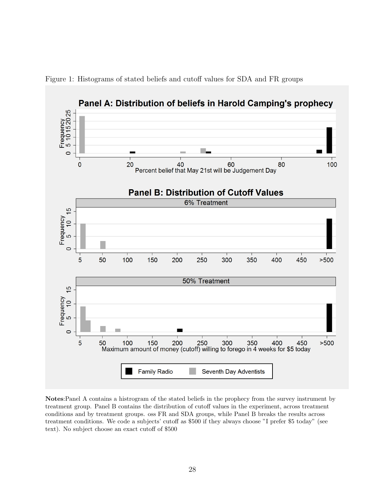

Figure 1: Histograms of stated beliefs and cutoff values for SDA and FR groups

Notes:Panel A contains a histrogram of the stated beliefs in the prophecy from the survey instrument by treatment group. Panel B contains the distribution of cutoff values in the experiment, across treatment conditions and by treatment groups. oss FR and SDA groups, while Panel B breaks the results across treatment conditions. We code a subjects' cutoff as \$500 if they always choose "I prefer \$5 today" (see text). No subject choose an exact cutoff of \$500